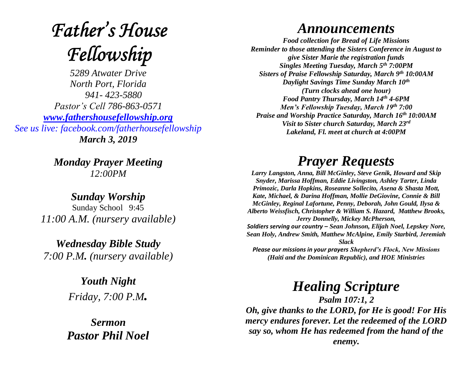# **Father's House** Fellowship

*5289 Atwater Drive North Port, Florida 941- 423-5880 Pastor's Cell 786-863-0571 [www.fathershousefellowship.org](http://www.fathershousefellowship.org/) See us live: facebook.com/fatherhousefellowship March 3, 2019*

> *Monday Prayer Meeting 12:00PM*

*Sunday Worship* Sunday School 9:45 *11:00 A.M. (nursery available)*

*Wednesday Bible Study 7:00 P.M. (nursery available)*

> *Youth Night Friday, 7:00 P.M.*

*Sermon Pastor Phil Noel*

#### *Announcements*

*Food collection for Bread of Life Missions Reminder to those attending the Sisters Conference in August to give Sister Marie the registration funds Singles Meeting Tuesday, March 5th 7:00PM Sisters of Praise Fellowship Saturday, March 9th 10:00AM Daylight Savings Time Sunday March 10th (Turn clocks ahead one hour) Food Pantry Thursday, March 14th 4-6PM Men's Fellowship Tuesday, March 19th 7:00 Praise and Worship Practice Saturday, March 16th 10:00AM Visit to Sister church Saturday, March 23rd Lakeland, Fl. meet at church at 4:00PM*

### *Prayer Requests*

*Larry Langston, Anna, Bill McGinley, Steve Genik, Howard and Skip Snyder, Marissa Hoffman, Eddie Livingston, Ashley Tarter, Linda Primozic, Darla Hopkins, Roseanne Sollecito, Asena & Shasta Mott, Kate, Michael, & Darina Hoffman, Mollie DeGiovine, Connie & Bill McGinley, Reginal Lafortune, Penny, Deborah, John Gould, Ilysa & Alberto Weissfisch, Christopher & William S. Hazard, Matthew Brooks, Jerry Donnelly, Mickey McPherson, Soldiers serving our country – Sean Johnson, Elijah Noel, Lepskey Nore, Sean Holy, Andrew Smith, Matthew McAlpine, Emily Starbird, Jeremiah Slack Please our missions in your prayers Shepherd's Flock, New Missions (Haiti and the Dominican Republic), and HOE Ministries*

## *Healing Scripture*

*Psalm 107:1, 2 Oh, give thanks to the LORD, for He is good! For His mercy endures forever. Let the redeemed of the LORD say so, whom He has redeemed from the hand of the enemy.*